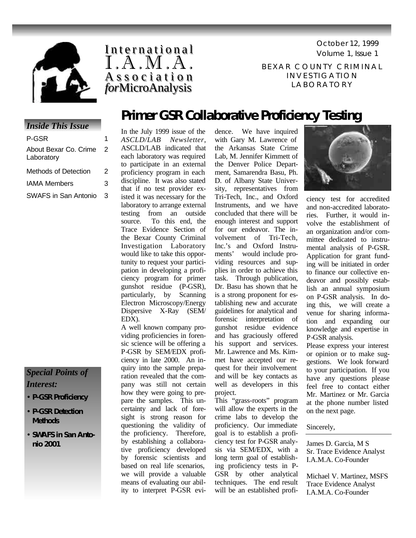





BEXAR COUNTY CRIMINAL INVESTIGATION LABORATORY

# **Primer GSR Collaborative Proficiency Testing**

#### *Inside This Issue*

| P-GSR                               |   |
|-------------------------------------|---|
| About Bexar Co. Crime<br>Laboratory | 2 |
| Methods of Detection                | 2 |
| IAMA Members                        | з |
| SWAFS in San Antonio                | 3 |
|                                     |   |

## *Special Points of Interest:*

- **P-GSR Proficiency**
- **P-GSR Detection Methods**
- **SWAFS in San Antonio 2001**

In the July 1999 issue of the *ASCLD/LAB Newsletter*, ASCLD/LAB indicated that each laboratory was required to participate in an external proficiency program in each discipline. It was also stated that if no test provider existed it was necessary for the laboratory to arrange external testing from an outside source. To this end, the Trace Evidence Section of the Bexar County Criminal Investigation Laboratory would like to take this opportunity to request your participation in developing a proficiency program for primer gunshot residue (P-GSR), particularly, by Scanning Electron Microscopy/Energy Dispersive X-Ray (SEM/ EDX).

A well known company providing proficiencies in forensic science will be offering a P-GSR by SEM/EDX proficiency in late 2000. An inquiry into the sample preparation revealed that the company was still not certain how they were going to prepare the samples. This uncertainty and lack of foresight is strong reason for questioning the validity of the proficiency. Therefore, by establishing a collaborative proficiency developed by forensic scientists and based on real life scenarios, we will provide a valuable means of evaluating our ability to interpret P-GSR evidence. We have inquired with Gary M. Lawrence of the Arkansas State Crime Lab, M. Jennifer Kimmett of the Denver Police Department, Samarendra Basu, Ph. D. of Albany State University, representatives from Tri-Tech, Inc., and Oxford Instruments, and we have concluded that there will be enough interest and support for our endeavor. The involvement of Tri-Tech, Inc.'s and Oxford Instruwould include providing resources and supplies in order to achieve this task. Through publication, Dr. Basu has shown that he is a strong proponent for establishing new and accurate guidelines for analytical and forensic interpretation of gunshot residue evidence and has graciously offered his support and services. Mr. Lawrence and Ms. Kimmet have accepted our request for their involvement and will be key contacts as well as developers in this project.

This "grass-roots" program will allow the experts in the crime labs to develop the proficiency. Our immediate goal is to establish a proficiency test for P-GSR analysis via SEM/EDX, with a long term goal of establishing proficiency tests in P-GSR by other analytical techniques. The end result will be an established profi-



ciency test for accredited and non-accredited laboratories. Further, it would involve the establishment of an organization and/or committee dedicated to instrumental analysis of P-GSR. Application for grant funding will be initiated in order to finance our collective endeavor and possibly establish an annual symposium on P-GSR analysis. In doing this, we will create a venue for sharing information and expanding our knowledge and expertise in P-GSR analysis.

Please express your interest or opinion or to make suggestions. We look forward to your participation. If you have any questions please feel free to contact either Mr. Martinez or Mr. Garcia at the phone number listed on the next page.

#### Sincerely,

James D. Garcia, M S Sr. Trace Evidence Analyst I.A.M.A. Co-Founder

Michael V. Martinez, MSFS Trace Evidence Analyst I.A.M.A. Co-Founder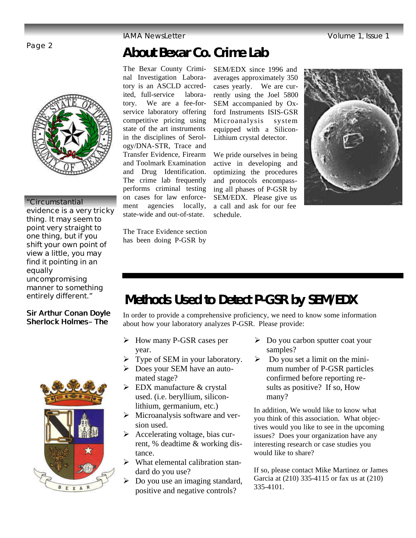IAMA NewsLetter Volume 1, Issue 1

# Page 2 **About Bexar Co. Crime Lab**

The Bexar County Criminal Investigation Laboratory is an ASCLD accredited, full-service laboratory. We are a fee-forservice laboratory offering competitive pricing using state of the art instruments in the disciplines of Serology/DNA-STR, Trace and Transfer Evidence, Firearm and Toolmark Examination and Drug Identification. The crime lab frequently performs criminal testing on cases for law enforcement agencies locally, state-wide and out-of-state.

SEM/EDX since 1996 and averages approximately 350 cases yearly. We are currently using the Joel 5800 SEM accompanied by Oxford Instruments ISIS-GSR Microanalysis system equipped with a Silicon-Lithium crystal detector.

We pride ourselves in being active in developing and optimizing the procedures and protocols encompassing all phases of P-GSR by SEM/EDX. Please give us a call and ask for our fee schedule.



The Trace Evidence section has been doing P-GSR by

# **Methods Used to Detect P-GSR by SEM/EDX**

In order to provide a comprehensive proficiency, we need to know some information about how your laboratory analyzes P-GSR. Please provide:

- $\triangleright$  How many P-GSR cases per year.
- $\triangleright$  Type of SEM in your laboratory.
- $\triangleright$  Does your SEM have an automated stage?
- $\triangleright$  EDX manufacture & crystal used. (i.e. beryllium, siliconlithium, germanium, etc.)
- $\triangleright$  Microanalysis software and version used.
- $\triangleright$  Accelerating voltage, bias current, % deadtime & working distance.
- $\triangleright$  What elemental calibration standard do you use?
- $\triangleright$  Do you use an imaging standard, positive and negative controls?
- $\triangleright$  Do you carbon sputter coat your samples?
- $\triangleright$  Do you set a limit on the minimum number of P-GSR particles confirmed before reporting results as positive? If so, How many?

In addition, We would like to know what you think of this association. What objectives would you like to see in the upcoming issues? Does your organization have any interesting research or case studies you would like to share?

If so, please contact Mike Martinez or James Garcia at (210) 335-4115 or fax us at (210) 335-4101.



### **"Circumstantial**

**evidence is a very tricky thing. It may seem to point very straight to one thing, but if you shift your own point of view a little, you may find it pointing in an equally uncompromising manner to something entirely different."**

#### **Sir Arthur Conan Doyle**  *Sherlock Holmes– The*